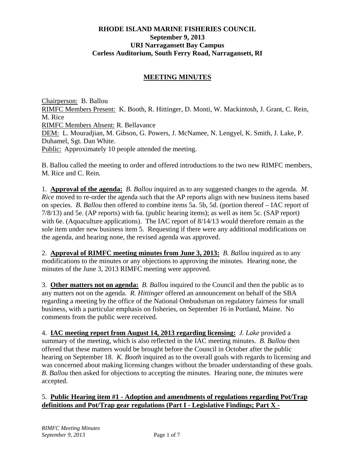### **RHODE ISLAND MARINE FISHERIES COUNCIL September 9, 2013 URI Narragansett Bay Campus Corless Auditorium, South Ferry Road, Narragansett, RI**

### **MEETING MINUTES**

Chairperson: B. Ballou RIMFC Members Present: K. Booth, R. Hittinger, D. Monti, W. Mackintosh, J. Grant, C. Rein, M. Rice RIMFC Members Absent: R. Bellavance DEM: L. Mouradjian, M. Gibson, G. Powers, J. McNamee, N. Lengyel, K. Smith, J. Lake, P. Duhamel, Sgt. Dan White. Public: Approximately 10 people attended the meeting.

B. Ballou called the meeting to order and offered introductions to the two new RIMFC members, M. Rice and C. Rein.

1. **Approval of the agenda:** *B. Ballou* inquired as to any suggested changes to the agenda. *M. Rice* moved to re-order the agenda such that the AP reports align with new business items based on species. *B. Ballou* then offered to combine items 5a. 5b, 5d. (portion thereof – IAC report of 7/8/13) and 5e. (AP reports) with 6a. (public hearing items); as well as item 5c. (SAP report) with 6e. (Aquaculture applications). The IAC report of  $8/14/13$  would therefore remain as the sole item under new business item 5. Requesting if there were any additional modifications on the agenda, and hearing none, the revised agenda was approved.

2. **Approval of RIMFC meeting minutes from June 3, 2013:** *B. Ballou* inquired as to any modifications to the minutes or any objections to approving the minutes. Hearing none, the minutes of the June 3, 2013 RIMFC meeting were approved.

3. **Other matters not on agenda:** *B. Ballou* inquired to the Council and then the public as to any matters not on the agenda. *R. Hittinger* offered an announcement on behalf of the SBA regarding a meeting by the office of the National Ombudsman on regulatory fairness for small business, with a particular emphasis on fisheries, on September 16 in Portland, Maine. No comments from the public were received.

4. **IAC meeting report from August 14, 2013 regarding licensing:** *J. Lake* provided a summary of the meeting, which is also reflected in the IAC meeting minutes. *B. Ballou* then offered that these matters would be brought before the Council in October after the public hearing on September 18. *K. Booth* inquired as to the overall goals with regards to licensing and was concerned about making licensing changes without the broader understanding of these goals. *B. Ballou* then asked for objections to accepting the minutes. Hearing none, the minutes were accepted.

### 5. **Public Hearing item #1 - Adoption and amendments of regulations regarding Pot/Trap definitions and Pot/Trap gear regulations (Part I - Legislative Findings; Part X -**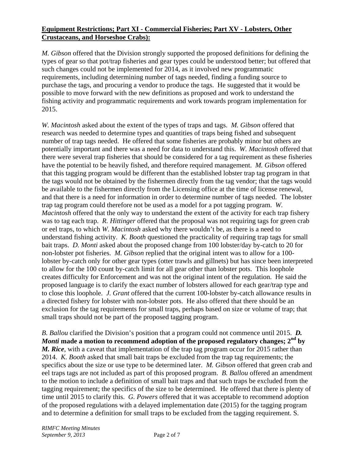## **Equipment Restrictions; Part XI - Commercial Fisheries; Part XV - Lobsters, Other Crustaceans, and Horseshoe Crabs):**

*M. Gibson* offered that the Division strongly supported the proposed definitions for defining the types of gear so that pot/trap fisheries and gear types could be understood better; but offered that such changes could not be implemented for 2014, as it involved new programmatic requirements, including determining number of tags needed, finding a funding source to purchase the tags, and procuring a vendor to produce the tags. He suggested that it would be possible to move forward with the new definitions as proposed and work to understand the fishing activity and programmatic requirements and work towards program implementation for 2015.

*W. Macintosh* asked about the extent of the types of traps and tags. *M. Gibson* offered that research was needed to determine types and quantities of traps being fished and subsequent number of trap tags needed. He offered that some fisheries are probably minor but others are potentially important and there was a need for data to understand this. *W. Macintosh* offered that there were several trap fisheries that should be considered for a tag requirement as these fisheries have the potential to be heavily fished, and therefore required management. *M. Gibson* offered that this tagging program would be different than the established lobster trap tag program in that the tags would not be obtained by the fishermen directly from the tag vendor; that the tags would be available to the fishermen directly from the Licensing office at the time of license renewal, and that there is a need for information in order to determine number of tags needed. The lobster trap tag program could therefore not be used as a model for a pot tagging program. *W. Macintosh* offered that the only way to understand the extent of the activity for each trap fishery was to tag each trap. *R. Hittinger* offered that the proposal was not requiring tags for green crab or eel traps, to which *W. Macintosh* asked why there wouldn't be, as there is a need to understand fishing activity. *K. Booth* questioned the practicality of requiring trap tags for small bait traps. *D. Monti* asked about the proposed change from 100 lobster/day by-catch to 20 for non-lobster pot fisheries. *M. Gibson* replied that the original intent was to allow for a 100 lobster by-catch only for other gear types (otter trawls and gillnets) but has since been interpreted to allow for the 100 count by-catch limit for all gear other than lobster pots. This loophole creates difficulty for Enforcement and was not the original intent of the regulation. He said the proposed language is to clarify the exact number of lobsters allowed for each gear/trap type and to close this loophole. *J. Grant* offered that the current 100-lobster by-catch allowance results in a directed fishery for lobster with non-lobster pots. He also offered that there should be an exclusion for the tag requirements for small traps, perhaps based on size or volume of trap; that small traps should not be part of the proposed tagging program.

*B. Ballou* clarified the Division's position that a program could not commence until 2015. *D. Monti* made a motion to recommend adoption of the proposed regulatory changes;  $2^{nd}$  by *M. Rice*, with a caveat that implementation of the trap tag program occur for 2015 rather than 2014. *K. Booth* asked that small bait traps be excluded from the trap tag requirements; the specifics about the size or use type to be determined later. *M. Gibson* offered that green crab and eel traps tags are not included as part of this proposed program. *B. Ballou* offered an amendment to the motion to include a definition of small bait traps and that such traps be excluded from the tagging requirement; the specifics of the size to be determined. He offered that there is plenty of time until 2015 to clarify this. *G. Powers* offered that it was acceptable to recommend adoption of the proposed regulations with a delayed implementation date (2015) for the tagging program and to determine a definition for small traps to be excluded from the tagging requirement. S.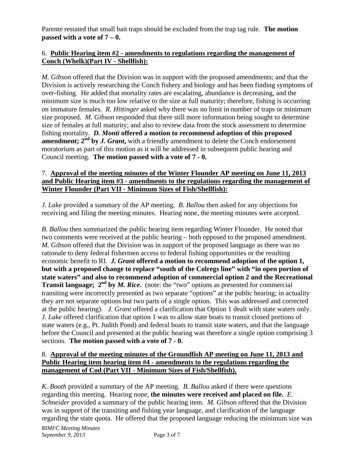Parente restated that small bait traps should be excluded from the trap tag rule. **The motion passed with a vote of 7 – 0.**

### 6. **Public Hearing item #2 - amendments to regulations regarding the management of Conch (Whelk)(Part IV - Shellfish):**

*M. Gibson* offered that the Division was in support with the proposed amendments; and that the Division is actively researching the Conch fishery and biology and has been finding symptoms of over-fishing. He added that mortality rates are escalating, abundance is decreasing, and the minimum size is much too low relative to the size at full maturity; therefore, fishing is occurring on immature females. *R. Hittinger* asked why there was no limit in number of traps or minimum size proposed. *M. Gibson* responded that there still more information being sought to determine size of females at full maturity; and also to review data from the stock assessment to determine fishing mortality. *D. Monti* **offered a motion to recommend adoption of this proposed amendment;**  $2^{nd}$  by *J. Grant*, with a friendly amendment to delete the Conch endorsement moratorium as part of this motion as it will be addressed in subsequent public hearing and Council meeting. **The motion passed with a vote of 7 - 0.**

#### 7. **Approval of the meeting minutes of the Winter Flounder AP meeting on June 11, 2013 and Public Hearing item #3 - amendments to the regulations regarding the management of Winter Flounder (Part VII - Minimum Sizes of Fish/Shellfish):**

*J. Lake* provided a summary of the AP meeting. *B. Ballou* then asked for any objections for receiving and filing the meeting minutes. Hearing none, the meeting minutes were accepted.

*B. Ballou* then summarized the public hearing item regarding Winter Flounder. He noted that two comments were received at the public hearing – both opposed to the proposed amendment. *M. Gibson* offered that the Division was in support of the proposed language as there was no rationale to deny federal fishermen access to federal fishing opportunities or the resulting economic benefit to RI. *J. Grant* **offered a motion to recommend adoption of the option 1, but with a proposed change to replace "south of the Colregs line" with "in open portion of state waters" and also to recommend adoption of commercial option 2 and the Recreational Transit language; 2<sup>nd</sup> by** *M. Rice*. (note: the "two" options as presented for commercial transiting were incorrectly presented as two separate "options" at the public hearing; in actuality they are not separate options but two parts of a single option. This was addressed and corrected at the public hearing).*J. Grant* offered a clarification that Option 1 dealt with state waters only. *J. Lake* offered clarification that option 1 was to allow state boats to transit closed portions of state waters (e.g., Pt. Judith Pond) and federal boats to transit state waters, and that the language before the Council and presented at the public hearing was therefore a single option comprising 3 sections. **The motion passed with a vote of 7 - 0.**

### 8. **Approval of the meeting minutes of the Groundfish AP meeting on June 11, 2013 and Public Hearing item hearing item #4 - amendments to the regulations regarding the management of Cod (Part VII - Minimum Sizes of Fish/Shellfish).**

*K. Booth* provided a summary of the AP meeting. *B. Ballou* asked if there were questions regarding this meeting. Hearing none, **the minutes were received and placed on file.** *E. Schneider* provided a summary of the public hearing item. *M. Gibson* offered that the Division was in support of the transiting and fishing year language, and clarification of the language regarding the state quota. He offered that the proposed language reducing the minimum size was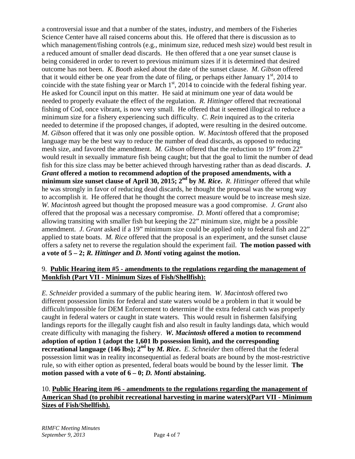a controversial issue and that a number of the states, industry, and members of the Fisheries Science Center have all raised concerns about this. He offered that there is discussion as to which management/fishing controls (e.g., minimum size, reduced mesh size) would best result in a reduced amount of smaller dead discards. He then offered that a one year sunset clause is being considered in order to revert to previous minimum sizes if it is determined that desired outcome has not been. *K. Booth* asked about the date of the sunset clause. *M. Gibson* offered that it would either be one year from the date of filing, or perhaps either January  $1<sup>st</sup>$ , 2014 to coincide with the state fishing year or March  $1<sup>st</sup>$ , 2014 to coincide with the federal fishing year. He asked for Council input on this matter. He said at minimum one year of data would be needed to properly evaluate the effect of the regulation. *R. Hittinger* offered that recreational fishing of Cod, once vibrant, is now very small. He offered that it seemed illogical to reduce a minimum size for a fishery experiencing such difficulty. *C. Rein* inquired as to the criteria needed to determine if the proposed changes, if adopted, were resulting in the desired outcome. *M. Gibson* offered that it was only one possible option. *W. Macintosh* offered that the proposed language may be the best way to reduce the number of dead discards, as opposed to reducing mesh size, and favored the amendment. *M. Gibson* offered that the reduction to 19" from 22" would result in sexually immature fish being caught; but that the goal to limit the number of dead fish for this size class may be better achieved through harvesting rather than as dead discards. *J. Grant* **offered a motion to recommend adoption of the proposed amendments, with a minimum size sunset clause of April 30, 2015; 2nd by** *M. Rice***.** *R. Hittinger* offered that while he was strongly in favor of reducing dead discards, he thought the proposal was the wrong way to accomplish it. He offered that he thought the correct measure would be to increase mesh size. *W. Macintosh* agreed but thought the proposed measure was a good compromise. *J. Grant* also offered that the proposal was a necessary compromise. *D. Monti* offered that a compromise; allowing transiting with smaller fish but keeping the 22" minimum size, might be a possible amendment. *J. Grant* asked if a 19" minimum size could be applied only to federal fish and 22" applied to state boats. *M. Rice* offered that the proposal is an experiment, and the sunset clause offers a safety net to reverse the regulation should the experiment fail. **The motion passed with a vote of 5 – 2;** *R. Hittinger* **and** *D. Monti* **voting against the motion.**

### 9. **Public Hearing item #5 - amendments to the regulations regarding the management of Monkfish (Part VII - Minimum Sizes of Fish/Shellfish):**

*E. Schneider* provided a summary of the public hearing item. *W. Macintosh* offered two different possession limits for federal and state waters would be a problem in that it would be difficult/impossible for DEM Enforcement to determine if the extra federal catch was properly caught in federal waters or caught in state waters. This would result in fishermen falsifying landings reports for the illegally caught fish and also result in faulty landings data, which would create difficulty with managing the fishery. *W. Macintosh* **offered a motion to recommend adoption of option 1 (adopt the 1,601 lb possession limit), and the corresponding recreational language (146 lbs); 2nd by** *M. Rice***.** *E. Schneider* then offered that the federal possession limit was in reality inconsequential as federal boats are bound by the most-restrictive rule, so with either option as presented, federal boats would be bound by the lesser limit. **The motion passed with a vote of 6 – 0;** *D. Monti* **abstaining.** 

# 10. **Public Hearing item #6 - amendments to the regulations regarding the management of American Shad (to prohibit recreational harvesting in marine waters)(Part VII - Minimum Sizes of Fish/Shellfish).**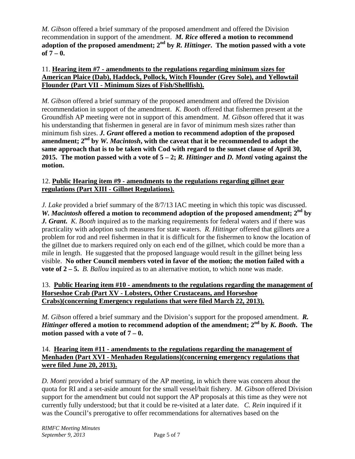*M. Gibson* offered a brief summary of the proposed amendment and offered the Division recommendation in support of the amendment. *M. Rice* **offered a motion to recommend adoption of the proposed amendment; 2nd by** *R. Hittinger***. The motion passed with a vote of 7 – 0.** 

## 11. **Hearing item #7 - amendments to the regulations regarding minimum sizes for American Plaice (Dab), Haddock, Pollock, Witch Flounder (Grey Sole), and Yellowtail Flounder (Part VII - Minimum Sizes of Fish/Shellfish).**

*M. Gibson* offered a brief summary of the proposed amendment and offered the Division recommendation in support of the amendment. *K. Booth* offered that fishermen present at the Groundfish AP meeting were not in support of this amendment. *M. Gibson* offered that it was his understanding that fishermen in general are in favor of minimum mesh sizes rather than minimum fish sizes. *J. Grant* **offered a motion to recommend adoption of the proposed amendment; 2nd by** *W. Macintosh***, with the caveat that it be recommended to adopt the same approach that is to be taken with Cod with regard to the sunset clause of April 30, 2015. The motion passed with a vote of 5 – 2;** *R. Hittinger* **and** *D. Monti* **voting against the motion.** 

# 12. **Public Hearing item #9 - amendments to the regulations regarding gillnet gear regulations (Part XIII - Gillnet Regulations).**

*J. Lake* provided a brief summary of the 8/7/13 IAC meeting in which this topic was discussed. *W. Macintosh* offered a motion to recommend adoption of the proposed amendment;  $2^{nd}$  by *J. Grant***.** *K. Booth* inquired as to the marking requirements for federal waters and if there was practicality with adoption such measures for state waters. *R. Hittinger* offered that gillnets are a problem for rod and reel fishermen in that it is difficult for the fishermen to know the location of the gillnet due to markers required only on each end of the gillnet, which could be more than a mile in length. He suggested that the proposed language would result in the gillnet being less visible. **No other Council members voted in favor of the motion; the motion failed with a vote of 2 – 5.** *B. Ballou* inquired as to an alternative motion, to which none was made.

## 13. **Public Hearing item #10 - amendments to the regulations regarding the management of Horseshoe Crab (Part XV - Lobsters, Other Crustaceans, and Horseshoe Crabs)(concerning Emergency regulations that were filed March 22, 2013).**

*M. Gibson* offered a brief summary and the Division's support for the proposed amendment. *R. Hittinger* **offered a motion to recommend adoption of the amendment; 2nd by** *K. Booth***. The motion passed with a vote of 7 – 0.** 

## 14. **Hearing item #11 - amendments to the regulations regarding the management of Menhaden (Part XVI - Menhaden Regulations)(concerning emergency regulations that were filed June 20, 2013).**

*D. Monti* provided a brief summary of the AP meeting, in which there was concern about the quota for RI and a set-aside amount for the small vessel/bait fishery.*M. Gibson* offered Division support for the amendment but could not support the AP proposals at this time as they were not currently fully understood; but that it could be re-visited at a later date.*C. Rein* inquired if it was the Council's prerogative to offer recommendations for alternatives based on the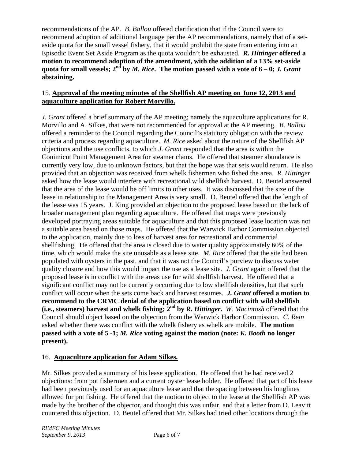recommendations of the AP. *B. Ballou* offered clarification that if the Council were to recommend adoption of additional language per the AP recommendations, namely that of a setaside quota for the small vessel fishery, that it would prohibit the state from entering into an Episodic Event Set Aside Program as the quota wouldn't be exhausted. *R. Hittinger* **offered a motion to recommend adoption of the amendment, with the addition of a 13% set-aside quota for small vessels;**  $2^{nd}$  by *M. Rice*. The motion passed with a vote of  $6 - 0$ ; *J. Grant* **abstaining.** 

### 15. **Approval of the meeting minutes of the Shellfish AP meeting on June 12, 2013 and aquaculture application for Robert Morvillo.**

*J. Grant* offered a brief summary of the AP meeting; namely the aquaculture applications for R. Morvillo and A. Silkes, that were not recommended for approval at the AP meeting. *B. Ballou* offered a reminder to the Council regarding the Council's statutory obligation with the review criteria and process regarding aquaculture. *M. Rice* asked about the nature of the Shellfish AP objections and the use conflicts, to which *J. Grant* responded that the area is within the Conimicut Point Management Area for steamer clams. He offered that steamer abundance is currently very low, due to unknown factors, but that the hope was that sets would return. He also provided that an objection was received from whelk fishermen who fished the area. *R. Hittinger* asked how the lease would interfere with recreational wild shellfish harvest. D. Beutel answered that the area of the lease would be off limits to other uses. It was discussed that the size of the lease in relationship to the Management Area is very small. D. Beutel offered that the length of the lease was 15 years. J. King provided an objection to the proposed lease based on the lack of broader management plan regarding aquaculture. He offered that maps were previously developed portraying areas suitable for aquaculture and that this proposed lease location was not a suitable area based on those maps. He offered that the Warwick Harbor Commission objected to the application, mainly due to loss of harvest area for recreational and commercial shellfishing. He offered that the area is closed due to water quality approximately 60% of the time, which would make the site unusable as a lease site. *M. Rice* offered that the site had been populated with oysters in the past, and that it was not the Council's purview to discuss water quality closure and how this would impact the use as a lease site. *J. Grant* again offered that the proposed lease is in conflict with the areas use for wild shellfish harvest. He offered that a significant conflict may not be currently occurring due to low shellfish densities, but that such conflict will occur when the sets come back and harvest resumes. *J. Grant* **offered a motion to recommend to the CRMC denial of the application based on conflict with wild shellfish (i.e., steamers) harvest and whelk fishing; 2nd by** *R. Hittinger***.** *W. Macintosh* offered that the Council should object based on the objection from the Warwick Harbor Commission. *C. Rein* asked whether there was conflict with the whelk fishery as whelk are mobile. **The motion passed with a vote of 5 -1;** *M. Rice* **voting against the motion (note:** *K. Booth* **no longer present).** 

### 16. **Aquaculture application for Adam Silkes.**

Mr. Silkes provided a summary of his lease application. He offered that he had received 2 objections: from pot fishermen and a current oyster lease holder. He offered that part of his lease had been previously used for an aquaculture lease and that the spacing between his longlines allowed for pot fishing. He offered that the motion to object to the lease at the Shellfish AP was made by the brother of the objector, and thought this was unfair, and that a letter from D. Leavitt countered this objection. D. Beutel offered that Mr. Silkes had tried other locations through the